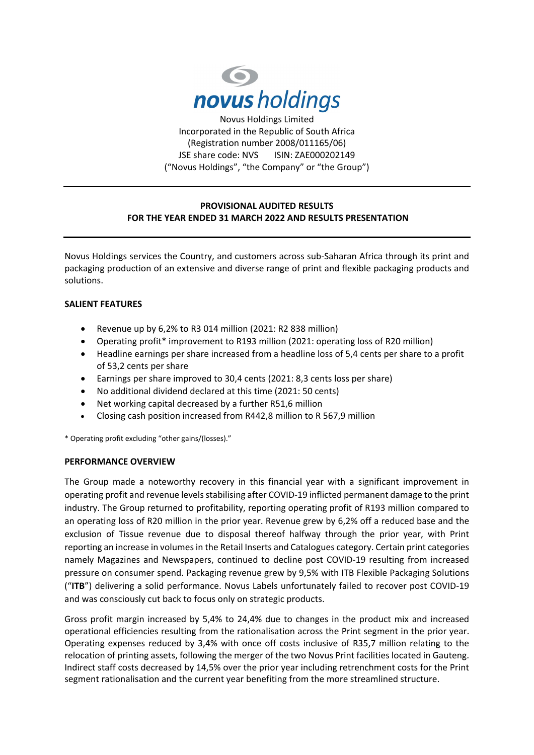

Incorporated in the Republic of South Africa (Registration number 2008/011165/06) JSE share code: NVS ISIN: ZAE000202149 ("Novus Holdings", "the Company" or "the Group")

# **PROVISIONAL AUDITED RESULTS FOR THE YEAR ENDED 31 MARCH 2022 AND RESULTS PRESENTATION**

Novus Holdings services the Country, and customers across sub-Saharan Africa through its print and packaging production of an extensive and diverse range of print and flexible packaging products and solutions.

## **SALIENT FEATURES**

- Revenue up by 6,2% to R3 014 million (2021: R2 838 million)
- Operating profit\* improvement to R193 million (2021: operating loss of R20 million)
- Headline earnings per share increased from a headline loss of 5,4 cents per share to a profit of 53,2 cents per share
- Earnings per share improved to 30,4 cents (2021: 8,3 cents loss per share)
- No additional dividend declared at this time (2021: 50 cents)
- Net working capital decreased by a further R51,6 million
- Closing cash position increased from R442,8 million to R 567,9 million

\* Operating profit excluding "other gains/(losses)."

### **PERFORMANCE OVERVIEW**

The Group made a noteworthy recovery in this financial year with a significant improvement in operating profit and revenue levels stabilising after COVID-19 inflicted permanent damage to the print industry. The Group returned to profitability, reporting operating profit of R193 million compared to an operating loss of R20 million in the prior year. Revenue grew by 6,2% off a reduced base and the exclusion of Tissue revenue due to disposal thereof halfway through the prior year, with Print reporting an increase in volumes in the Retail Inserts and Catalogues category. Certain print categories namely Magazines and Newspapers, continued to decline post COVID-19 resulting from increased pressure on consumer spend. Packaging revenue grew by 9,5% with ITB Flexible Packaging Solutions ("**ITB**") delivering a solid performance. Novus Labels unfortunately failed to recover post COVID-19 and was consciously cut back to focus only on strategic products.

Gross profit margin increased by 5,4% to 24,4% due to changes in the product mix and increased operational efficiencies resulting from the rationalisation across the Print segment in the prior year. Operating expenses reduced by 3,4% with once off costs inclusive of R35,7 million relating to the relocation of printing assets, following the merger of the two Novus Print facilities located in Gauteng. Indirect staff costs decreased by 14,5% over the prior year including retrenchment costs for the Print segment rationalisation and the current year benefiting from the more streamlined structure.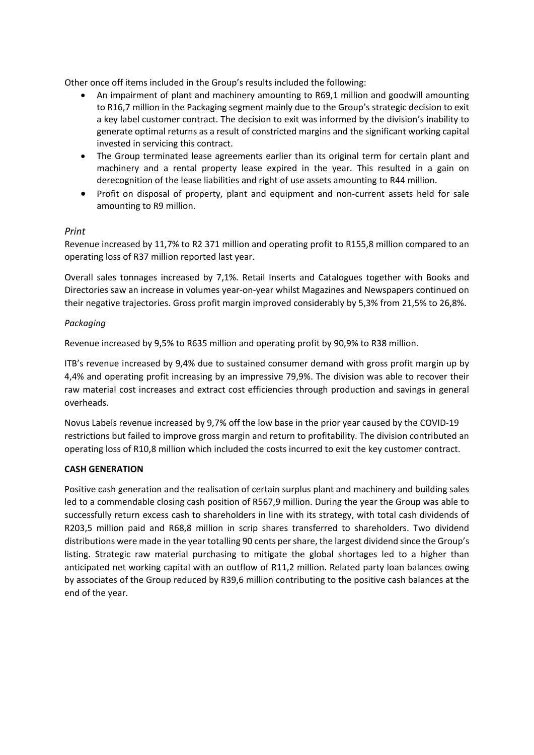Other once off items included in the Group's results included the following:

- An impairment of plant and machinery amounting to R69,1 million and goodwill amounting to R16,7 million in the Packaging segment mainly due to the Group's strategic decision to exit a key label customer contract. The decision to exit was informed by the division's inability to generate optimal returns as a result of constricted margins and the significant working capital invested in servicing this contract.
- The Group terminated lease agreements earlier than its original term for certain plant and machinery and a rental property lease expired in the year. This resulted in a gain on derecognition of the lease liabilities and right of use assets amounting to R44 million.
- Profit on disposal of property, plant and equipment and non-current assets held for sale amounting to R9 million.

## *Print*

Revenue increased by 11,7% to R2 371 million and operating profit to R155,8 million compared to an operating loss of R37 million reported last year.

Overall sales tonnages increased by 7,1%. Retail Inserts and Catalogues together with Books and Directories saw an increase in volumes year-on-year whilst Magazines and Newspapers continued on their negative trajectories. Gross profit margin improved considerably by 5,3% from 21,5% to 26,8%.

## *Packaging*

Revenue increased by 9,5% to R635 million and operating profit by 90,9% to R38 million.

ITB's revenue increased by 9,4% due to sustained consumer demand with gross profit margin up by 4,4% and operating profit increasing by an impressive 79,9%. The division was able to recover their raw material cost increases and extract cost efficiencies through production and savings in general overheads.

Novus Labels revenue increased by 9,7% off the low base in the prior year caused by the COVID-19 restrictions but failed to improve gross margin and return to profitability. The division contributed an operating loss of R10,8 million which included the costs incurred to exit the key customer contract.

### **CASH GENERATION**

Positive cash generation and the realisation of certain surplus plant and machinery and building sales led to a commendable closing cash position of R567,9 million. During the year the Group was able to successfully return excess cash to shareholders in line with its strategy, with total cash dividends of R203,5 million paid and R68,8 million in scrip shares transferred to shareholders. Two dividend distributions were made in the year totalling 90 cents per share, the largest dividend since the Group's listing. Strategic raw material purchasing to mitigate the global shortages led to a higher than anticipated net working capital with an outflow of R11,2 million. Related party loan balances owing by associates of the Group reduced by R39,6 million contributing to the positive cash balances at the end of the year.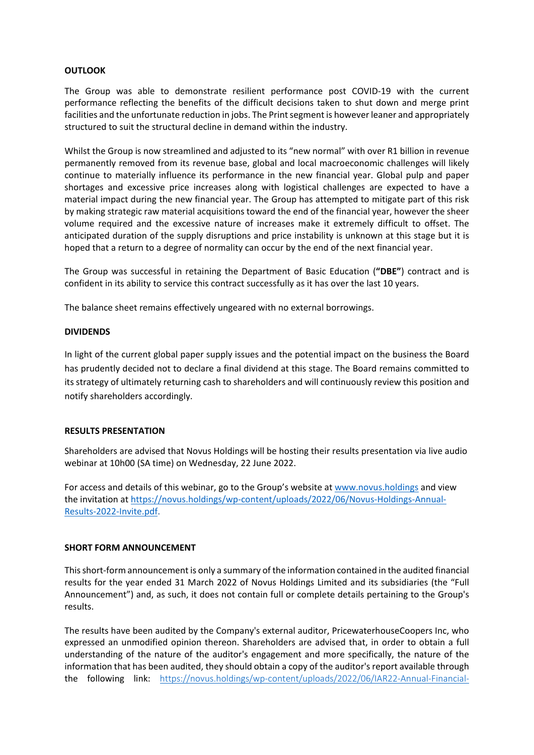#### **OUTLOOK**

The Group was able to demonstrate resilient performance post COVID-19 with the current performance reflecting the benefits of the difficult decisions taken to shut down and merge print facilities and the unfortunate reduction in jobs. The Print segment is however leaner and appropriately structured to suit the structural decline in demand within the industry.

Whilst the Group is now streamlined and adjusted to its "new normal" with over R1 billion in revenue permanently removed from its revenue base, global and local macroeconomic challenges will likely continue to materially influence its performance in the new financial year. Global pulp and paper shortages and excessive price increases along with logistical challenges are expected to have a material impact during the new financial year. The Group has attempted to mitigate part of this risk by making strategic raw material acquisitions toward the end of the financial year, however the sheer volume required and the excessive nature of increases make it extremely difficult to offset. The anticipated duration of the supply disruptions and price instability is unknown at this stage but it is hoped that a return to a degree of normality can occur by the end of the next financial year.

The Group was successful in retaining the Department of Basic Education (**"DBE"**) contract and is confident in its ability to service this contract successfully as it has over the last 10 years.

The balance sheet remains effectively ungeared with no external borrowings.

#### **DIVIDENDS**

In light of the current global paper supply issues and the potential impact on the business the Board has prudently decided not to declare a final dividend at this stage. The Board remains committed to its strategy of ultimately returning cash to shareholders and will continuously review this position and notify shareholders accordingly.

#### **RESULTS PRESENTATION**

Shareholders are advised that Novus Holdings will be hosting their results presentation via live audio webinar at 10h00 (SA time) on Wednesday, 22 June 2022.

For access and details of this webinar, go to the Group's website at [www.novus.holdings](http://www.novus.holdings/) and view the invitation at [https://novus.holdings/wp-content/uploads/2022/06/Novus-Holdings-Annual-](https://novus.holdings/wp-content/uploads/2022/06/Novus-Holdings-Annual-Results-2022-Invite.pdf)[Results-2022-Invite.pdf.](https://novus.holdings/wp-content/uploads/2022/06/Novus-Holdings-Annual-Results-2022-Invite.pdf)

### **SHORT FORM ANNOUNCEMENT**

This short-form announcement is only a summary of the information contained in the audited financial results for the year ended 31 March 2022 of Novus Holdings Limited and its subsidiaries (the "Full Announcement") and, as such, it does not contain full or complete details pertaining to the Group's results.

The results have been audited by the Company's external auditor, PricewaterhouseCoopers Inc, who expressed an unmodified opinion thereon. Shareholders are advised that, in order to obtain a full understanding of the nature of the auditor's engagement and more specifically, the nature of the information that has been audited, they should obtain a copy of the auditor's report available through the following link: [https://novus.holdings/wp-content/uploads/2022/06/IAR22-Annual-Financial-](https://novus.holdings/wp-content/uploads/2022/06/IAR22-Annual-Financial-Statements-v_Final.pdf.pdf)